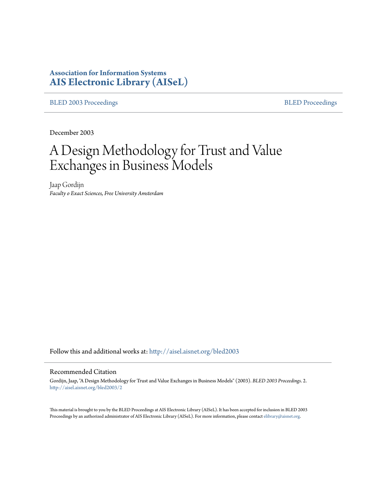# **Association for Information Systems [AIS Electronic Library \(AISeL\)](http://aisel.aisnet.org?utm_source=aisel.aisnet.org%2Fbled2003%2F2&utm_medium=PDF&utm_campaign=PDFCoverPages)**

[BLED 2003 Proceedings](http://aisel.aisnet.org/bled2003?utm_source=aisel.aisnet.org%2Fbled2003%2F2&utm_medium=PDF&utm_campaign=PDFCoverPages) **[BLED Proceedings](http://aisel.aisnet.org/bled?utm_source=aisel.aisnet.org%2Fbled2003%2F2&utm_medium=PDF&utm_campaign=PDFCoverPages)** 

December 2003

# A Design Methodology for Trust and Value Exchanges in Business Models

Jaap Gordijn *Faculty o Exact Sciences, Free University Amsterdam*

Follow this and additional works at: [http://aisel.aisnet.org/bled2003](http://aisel.aisnet.org/bled2003?utm_source=aisel.aisnet.org%2Fbled2003%2F2&utm_medium=PDF&utm_campaign=PDFCoverPages)

#### Recommended Citation

Gordijn, Jaap, "A Design Methodology for Trust and Value Exchanges in Business Models" (2003). *BLED 2003 Proceedings*. 2. [http://aisel.aisnet.org/bled2003/2](http://aisel.aisnet.org/bled2003/2?utm_source=aisel.aisnet.org%2Fbled2003%2F2&utm_medium=PDF&utm_campaign=PDFCoverPages)

This material is brought to you by the BLED Proceedings at AIS Electronic Library (AISeL). It has been accepted for inclusion in BLED 2003 Proceedings by an authorized administrator of AIS Electronic Library (AISeL). For more information, please contact [elibrary@aisnet.org](mailto:elibrary@aisnet.org%3E).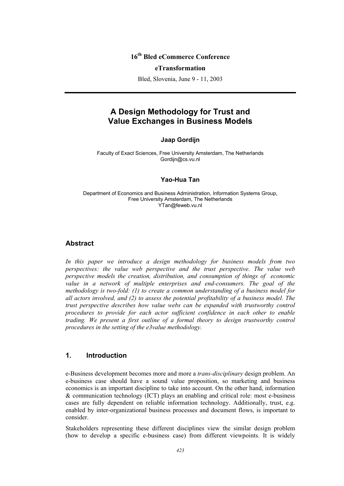## **16th Bled eCommerce Conference**

#### **eTransformation**

Bled, Slovenia, June 9 - 11, 2003

# **A Design Methodology for Trust and Value Exchanges in Business Models**

#### **Jaap Gordijn**

Faculty of Exact Sciences, Free University Amsterdam, The Netherlands Gordijn@cs.vu.nl

#### **Yao-Hua Tan**

Department of Economics and Business Administration, Information Systems Group, Free University Amsterdam, The Netherlands YTan@feweb.vu.nl

#### **Abstract**

*In this paper we introduce a design methodology for business models from two perspectives: the value web perspective and the trust perspective. The value web perspective models the creation, distribution, and consumption of things of economic value in a network of multiple enterprises and end-consumers. The goal of the methodology is two-fold: (1) to create a common understanding of a business model for all actors involved, and (2) to assess the potential profitability of a business model. The trust perspective describes how value webs can be expanded with trustworthy control procedures to provide for each actor sufficient confidence in each other to enable trading. We present a first outline of a formal theory to design trustworthy control procedures in the setting of the e3value methodology.* 

#### **1. Introduction**

e-Business development becomes more and more a *trans-disciplinary* design problem. An e-business case should have a sound value proposition, so marketing and business economics is an important discipline to take into account. On the other hand, information & communication technology (ICT) plays an enabling and critical role: most e-business cases are fully dependent on reliable information technology. Additionally, trust, e.g. enabled by inter-organizational business processes and document flows, is important to consider.

Stakeholders representing these different disciplines view the similar design problem (how to develop a specific e-business case) from different viewpoints. It is widely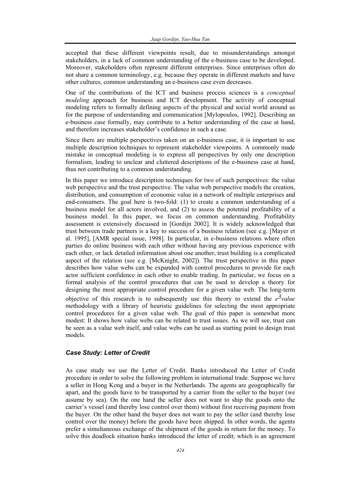accepted that these different viewpoints result, due to misunderstandings amongst stakeholders, in a lack of common understanding of the e-business case to be developed. Moreover, stakeholders often represent different enterprises. Since enterprises often do not share a common terminology, e.g. because they operate in different markets and have other cultures, common understanding an e-business case even decreases.

One of the contributions of the ICT and business process sciences is a *conceptual modeling* approach for business and ICT development. The activity of conceptual modeling refers to formally defining aspects of the physical and social world around us for the purpose of understanding and communication [Mylopoulos, 1992]. Describing an e-business case formally, may contribute to a better understanding of the case at hand, and therefore increases stakeholder's confidence in such a case.

Since there are multiple perspectives taken on an e-business case, it is important to use multiple description techniques to represent stakeholder viewpoints. A commonly made mistake in conceptual modeling is to express all perspectives by only one description formalism, leading to unclear and cluttered descriptions of the e-business case at hand, thus not contributing to a common understanding.

In this paper we introduce description techniques for two of such perspectives: the value web perspective and the trust perspective. The value web perspective models the creation, distribution, and consumption of economic value in a network of multiple enterprises and end-consumers. The goal here is two-fold: (1) to create a common understanding of a business model for all actors involved, and (2) to assess the potential profitability of a business model. In this paper, we focus on common understanding. Profitability assessment is extensively discussed in [Gordijn 2002]. It is widely acknowledged that trust between trade partners is a key to success of a business relation (see e.g. [Mayer et al. 1995], [AMR special issue, 1998]. In particular, in e-business relations where often parties do online business with each other without having any previous experience with each other, or lack detailed information about one another, trust building is a complicated aspect of the relation (see e.g. [McKnight, 2002]). The trust perspective in this paper describes how value webs can be expanded with control procedures to provide for each actor sufficient confidence in each other to enable trading. In particular, we focus on a formal analysis of the control procedures that can be used to develop a theory for designing the most appropriate control procedure for a given value web. The long-term objective of this research is to subsequently use this theory to extend the  $e^3$ *value* methodology with a library of heuristic guidelines for selecting the most appropriate control procedures for a given value web. The goal of this paper is somewhat more modest: It shows how value webs can be related to trust issues. As we will see, trust can be seen as a value web itself, and value webs can be used as starting point to design trust models.

#### *Case Study: Letter of Credit*

As case study we use the Letter of Credit. Banks introduced the Letter of Credit procedure in order to solve the following problem in international trade. Suppose we have a seller in Hong Kong and a buyer in the Netherlands. The agents are geographically far apart, and the goods have to be transported by a carrier from the seller to the buyer (we assume by sea). On the one hand the seller does not want to ship the goods onto the carrier's vessel (and thereby lose control over them) without first receiving payment from the buyer. On the other hand the buyer does not want to pay the seller (and thereby lose control over the money) before the goods have been shipped. In other words, the agents prefer a simultaneous exchange of the shipment of the goods in return for the money. To solve this deadlock situation banks introduced the letter of credit; which is an agreement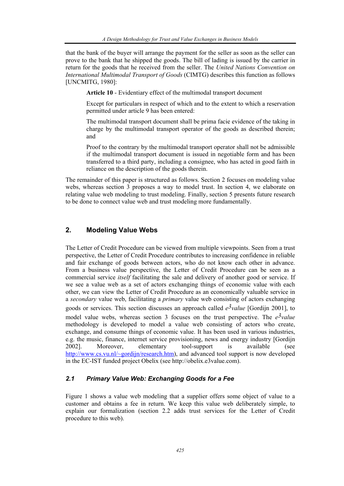that the bank of the buyer will arrange the payment for the seller as soon as the seller can prove to the bank that he shipped the goods. The bill of lading is issued by the carrier in return for the goods that he received from the seller. The *United Nations Convention on International Multimodal Transport of Goods* (CIMTG) describes this function as follows [UNCMITG, 1980]:

**Article 10** - Evidentiary effect of the multimodal transport document

Except for particulars in respect of which and to the extent to which a reservation permitted under article 9 has been entered:

The multimodal transport document shall be prima facie evidence of the taking in charge by the multimodal transport operator of the goods as described therein; and

Proof to the contrary by the multimodal transport operator shall not be admissible if the multimodal transport document is issued in negotiable form and has been transferred to a third party, including a consignee, who has acted in good faith in reliance on the description of the goods therein.

The remainder of this paper is structured as follows. Section 2 focuses on modeling value webs, whereas section 3 proposes a way to model trust. In section 4, we elaborate on relating value web modeling to trust modeling. Finally, section 5 presents future research to be done to connect value web and trust modeling more fundamentally.

#### **2. Modeling Value Webs**

The Letter of Credit Procedure can be viewed from multiple viewpoints. Seen from a trust perspective, the Letter of Credit Procedure contributes to increasing confidence in reliable and fair exchange of goods between actors, who do not know each other in advance. From a business value perspective, the Letter of Credit Procedure can be seen as a commercial service *itself* facilitating the sale and delivery of another good or service. If we see a value web as a set of actors exchanging things of economic value with each other, we can view the Letter of Credit Procedure as an economically valuable service in a *secondary* value web, facilitating a *primary* value web consisting of actors exchanging goods or services. This section discusses an approach called  $e^3$ *value* [Gordijn 2001], to model value webs, whereas section 3 focuses on the trust perspective. The  $e^3$ value methodology is developed to model a value web consisting of actors who create, exchange, and consume things of economic value. It has been used in various industries, e.g. the music, finance, internet service provisioning, news and energy industry [Gordijn 2002]. Moreover, elementary tool-support is available (see http://www.cs.vu.nl/~gordijn/research.htm), and advanced tool support is now developed in the EC-IST funded project Obelix (see http://obelix.e3value.com).

#### *2.1 Primary Value Web: Exchanging Goods for a Fee*

Figure 1 shows a value web modeling that a supplier offers some object of value to a customer and obtains a fee in return. We keep this value web deliberately simple, to explain our formalization (section 2.2 adds trust services for the Letter of Credit procedure to this web).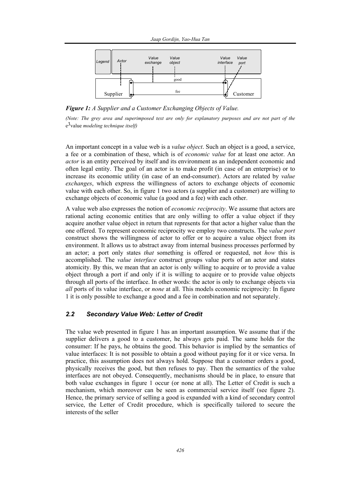

*Figure 1: A Supplier and a Customer Exchanging Objects of Value.* 

*(Note: The grey area and superimposed text are only for explanatory purposes and are not part of the*  e3value *modeling technique itself)*

An important concept in a value web is a *value object*. Such an object is a good, a service, a fee or a combination of these, which is of *economic value* for at least one actor. An *actor* is an entity perceived by itself and its environment as an independent economic and often legal entity. The goal of an actor is to make profit (in case of an enterprise) or to increase its economic utility (in case of an end-consumer). Actors are related by *value exchanges*, which express the willingness of actors to exchange objects of economic value with each other. So, in figure 1 two actors (a supplier and a customer) are willing to exchange objects of economic value (a good and a fee) with each other.

A value web also expresses the notion of *economic reciprocity*. We assume that actors are rational acting economic entities that are only willing to offer a value object if they acquire another value object in return that represents for that actor a higher value than the one offered. To represent economic reciprocity we employ two constructs. The *value port* construct shows the willingness of actor to offer or to acquire a value object from its environment. It allows us to abstract away from internal business processes performed by an actor; a port only states *that* something is offered or requested, not *how* this is accomplished. The *value interface* construct groups value ports of an actor and states atomicity. By this, we mean that an actor is only willing to acquire or to provide a value object through a port if and only if it is willing to acquire or to provide value objects through all ports of the interface. In other words: the actor is only to exchange objects via *all* ports of its value interface, or *none* at all. This models economic reciprocity: In figure 1 it is only possible to exchange a good and a fee in combination and not separately.

#### *2.2 Secondary Value Web: Letter of Credit*

The value web presented in figure 1 has an important assumption. We assume that if the supplier delivers a good to a customer, he always gets paid. The same holds for the consumer: If he pays, he obtains the good. This behavior is implied by the semantics of value interfaces: It is not possible to obtain a good without paying for it or vice versa. In practice, this assumption does not always hold. Suppose that a customer orders a good, physically receives the good, but then refuses to pay. Then the semantics of the value interfaces are not obeyed. Consequently, mechanisms should be in place, to ensure that both value exchanges in figure 1 occur (or none at all). The Letter of Credit is such a mechanism, which moreover can be seen as commercial service itself (see figure 2). Hence, the primary service of selling a good is expanded with a kind of secondary control service, the Letter of Credit procedure, which is specifically tailored to secure the interests of the seller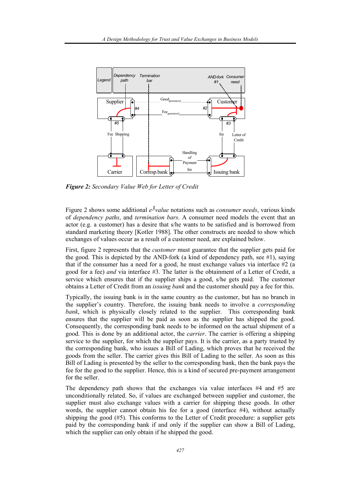

*Figure 2: Secondary Value Web for Letter of Credit* 

Figure 2 shows some additional  $e^3$ *value* notations such as *consumer needs*, various kinds of *dependency paths*, and *termination bars*. A consumer need models the event that an actor (e.g. a customer) has a desire that s/he wants to be satisfied and is borrowed from standard marketing theory [Kotler 1988]. The other constructs are needed to show which exchanges of values occur as a result of a customer need, are explained below.

First, figure 2 represents that the *customer* must guarantee that the supplier gets paid for the good. This is depicted by the AND-fork (a kind of dependency path, see  $\#1$ ), saying that if the consumer has a need for a good, he must exchange values via interface  $#2$  (a good for a fee) *and* via interface #3. The latter is the obtainment of a Letter of Credit, a service which ensures that if the supplier ships a good, s/he gets paid. The customer obtains a Letter of Credit from an *issuing bank* and the customer should pay a fee for this.

Typically, the issuing bank is in the same country as the customer, but has no branch in the supplier's country. Therefore, the issuing bank needs to involve a *corresponding bank*, which is physically closely related to the supplier. This corresponding bank ensures that the supplier will be paid as soon as the supplier has shipped the good. Consequently, the corresponding bank needs to be informed on the actual shipment of a good. This is done by an additional actor, the *carrier*. The carrier is offering a shipping service to the supplier, for which the supplier pays. It is the carrier, as a party trusted by the corresponding bank, who issues a Bill of Lading, which proves that he received the goods from the seller. The carrier gives this Bill of Lading to the seller. As soon as this Bill of Lading is presented by the seller to the corresponding bank, then the bank pays the fee for the good to the supplier. Hence, this is a kind of secured pre-payment arrangement for the seller.

The dependency path shows that the exchanges via value interfaces #4 and #5 are unconditionally related. So, if values are exchanged between supplier and customer, the supplier must also exchange values with a carrier for shipping these goods. In other words, the supplier cannot obtain his fee for a good (interface #4), without actually shipping the good  $(\#5)$ . This conforms to the Letter of Credit procedure: a supplier gets paid by the corresponding bank if and only if the supplier can show a Bill of Lading, which the supplier can only obtain if he shipped the good.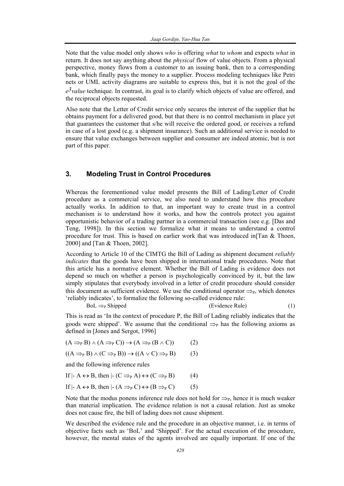Note that the value model only shows *who* is offering *what* to *whom* and expects *what* in return. It does not say anything about the *physical* flow of value objects. From a physical perspective, money flows from a customer to an issuing bank, then to a corresponding bank, which finally pays the money to a supplier. Process modeling techniques like Petri nets or UML activity diagrams are suitable to express this, but it is not the goal of the *e3value* technique. In contrast, its goal is to clarify which objects of value are offered, and the reciprocal objects requested.

Also note that the Letter of Credit service only secures the interest of the supplier that he obtains payment for a delivered good, but that there is no control mechanism in place yet that guarantees the customer that s/he will receive the ordered good, or receives a refund in case of a lost good (e.g. a shipment insurance). Such an additional service is needed to ensure that value exchanges between supplier and consumer are indeed atomic, but is not part of this paper.

## **3. Modeling Trust in Control Procedures**

Whereas the forementioned value model presents the Bill of Lading/Letter of Credit procedure as a commercial service, we also need to understand how this procedure actually works. In addition to that, an important way to create trust in a control mechanism is to understand how it works, and how the controls protect you against opportunistic behavior of a trading partner in a commercial transaction (see e.g. [Das and Teng, 1998]). In this section we formalize what it means to understand a control procedure for trust. This is based on earlier work that was introduced in[Tan & Thoen, 2000] and [Tan & Thoen, 2002].

According to Article 10 of the CIMTG the Bill of Lading as shipment document *reliably indicates* that the goods have been shipped in international trade procedures. Note that this article has a normative element. Whether the Bill of Lading is evidence does not depend so much on whether a person is psychologically convinced by it, but the law simply stipulates that everybody involved in a letter of credit procedure should consider this document as sufficient evidence. We use the conditional operator  $\Rightarrow_{\mathbb{P}}$ , which denotes 'reliably indicates', to formalize the following so-called evidence rule:

 $B_0L \Rightarrow_{\text{P}}$  Shipped (Evidence Rule) (1)

This is read as 'In the context of procedure P, the Bill of Lading reliably indicates that the goods were shipped'. We assume that the conditional  $\Rightarrow$ <sub>P</sub> has the following axioms as defined in [Jones and Sergot, 1996]

$$
(A \Rightarrow_{P} B) \land (A \Rightarrow_{P} C)) \to (A \Rightarrow_{P} (B \land C))
$$
 (2)

 $((A \Rightarrow_{P} B) \wedge (C \Rightarrow_{P} B)) \rightarrow ((A \vee C) \Rightarrow_{P} B)$  (3)

and the following inference rules

If 
$$
\vdash A \leftrightarrow B
$$
, then  $\vdash (C \Rightarrow_{P} A) \leftrightarrow (C \Rightarrow_{P} B)$  (4)

If 
$$
\vdash A \leftrightarrow B
$$
, then  $\vdash (A \Rightarrow_{P} C) \leftrightarrow (B \Rightarrow_{P} C)$  (5)

Note that the modus ponens inference rule does not hold for  $\Rightarrow_{P_1}$  hence it is much weaker than material implication. The evidence relation is not a causal relation. Just as smoke does not cause fire, the bill of lading does not cause shipment.

We described the evidence rule and the procedure in an objective manner, i.e. in terms of objective facts such as 'BoL' and 'Shipped'. For the actual execution of the procedure, however, the mental states of the agents involved are equally important. If one of the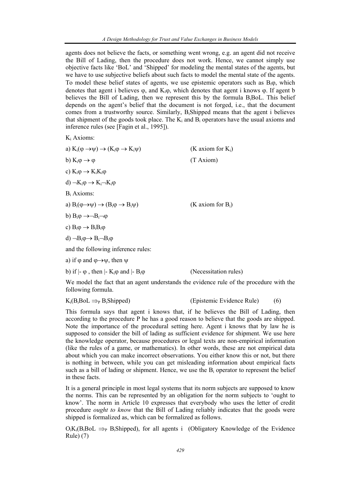agents does not believe the facts, or something went wrong, e.g. an agent did not receive the Bill of Lading, then the procedure does not work. Hence, we cannot simply use objective facts like 'BoL' and 'Shipped' for modeling the mental states of the agents, but we have to use subjective beliefs about such facts to model the mental state of the agents. To model these belief states of agents, we use epistemic operators such as  $B_i\varphi$ , which denotes that agent i believes  $\varphi$ , and  $K_i\varphi$ , which denotes that agent i knows  $\varphi$ . If agent b believes the Bill of Lading, then we represent this by the formula B<sub>i</sub>BoL. This belief depends on the agent's belief that the document is not forged, i.e., that the document comes from a trustworthy source. Similarly, BiShipped means that the agent i believes that shipment of the goods took place. The  $K_i$  and  $B_i$  operators have the usual axioms and inference rules (see [Fagin et al., 1995]).

Ki Axioms:

| a) $K_i(\varphi \rightarrow \psi) \rightarrow (K_i\varphi \rightarrow K_i\psi)$   | (K axiom for $K_i$ ) |
|-----------------------------------------------------------------------------------|----------------------|
| b) $K_i \varphi \rightarrow \varphi$                                              | (T Axiom)            |
| c) $K_i \varphi \rightarrow K_i K_i \varphi$                                      |                      |
| d) $-K_i\varphi \rightarrow K_i-K_i\varphi$                                       |                      |
| $B_i$ Axioms:                                                                     |                      |
| a) $B_i(\varphi \rightarrow \psi) \rightarrow (B_i \varphi \rightarrow B_i \psi)$ | (K axiom for $B_i$ ) |
| b) $B_i \varphi \rightarrow \neg B_i \neg \varphi$                                |                      |
| c) $B_i \varphi \rightarrow B_i B_i \varphi$                                      |                      |
| d) $\neg B_i \varphi \rightarrow B_i \neg B_i \varphi$                            |                      |
| and the following inference rules:                                                |                      |
| a) if $\varphi$ and $\varphi \rightarrow \psi$ , then $\psi$                      |                      |

b) if  $|- \varphi|$ , then  $|- K_i \varphi|$  and  $|- B_i \varphi|$  (Necessitation rules)

We model the fact that an agent understands the evidence rule of the procedure with the following formula.

 $K_i(B_iB_0L \implies_{P} B_iShipped)$  (Epistemic Evidence Rule) (6)

This formula says that agent i knows that, if he believes the Bill of Lading, then according to the procedure P he has a good reason to believe that the goods are shipped. Note the importance of the procedural setting here. Agent i knows that by law he is supposed to consider the bill of lading as sufficient evidence for shipment. We use here the knowledge operator, because procedures or legal texts are non-empirical information (like the rules of a game, or mathematics). In other words, these are not empirical data about which you can make incorrect observations. You either know this or not, but there is nothing in between, while you can get misleading information about empirical facts such as a bill of lading or shipment. Hence, we use the  $B_i$  operator to represent the belief in these facts.

It is a general principle in most legal systems that its norm subjects are supposed to know the norms. This can be represented by an obligation for the norm subjects to 'ought to know'. The norm in Article 10 expresses that everybody who uses the letter of credit procedure *ought to know* that the Bill of Lading reliably indicates that the goods were shipped is formalized as, which can be formalized as follows.

 $O_iK_i(B_iB_0L \implies_B B_iShipped)$ , for all agents i (Obligatory Knowledge of the Evidence Rule) (7)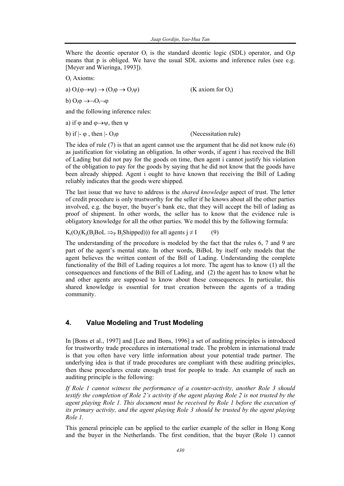Where the deontic operator  $O_i$  is the standard deontic logic (SDL) operator, and  $O_i$ means that p is obliged. We have the usual SDL axioms and inference rules (see e.g. [Meyer and Wieringa, 1993]).

Oi Axioms:

a)  $O_i(\varphi \rightarrow \psi) \rightarrow (O_i\varphi \rightarrow O_i\psi)$  (K axiom for  $O_i$ )

b)  $O_i \varphi \rightarrow \neg O_i \neg \varphi$ 

and the following inference rules:

a) if  $\varphi$  and  $\varphi \rightarrow \psi$ , then  $\psi$ 

b) if  $|- \varphi$ , then  $|- O_i \varphi$  (Necessitation rule)

The idea of rule (7) is that an agent cannot use the argument that he did not know rule (6) as justification for violating an obligation. In other words, if agent i has received the Bill of Lading but did not pay for the goods on time, then agent i cannot justify his violation of the obligation to pay for the goods by saying that he did not know that the goods have been already shipped. Agent i ought to have known that receiving the Bill of Lading reliably indicates that the goods were shipped.

The last issue that we have to address is the *shared knowledge* aspect of trust. The letter of credit procedure is only trustworthy for the seller if he knows about all the other parties involved, e.g. the buyer, the buyer's bank etc, that they will accept the bill of lading as proof of shipment. In other words, the seller has to know that the evidence rule is obligatory knowledge for all the other parties. We model this by the following formula:

 $K_i(O_i(K_i(B_iB_0L \implies_{P} B_iShipped)))$  for all agents  $j \neq I$  (9)

The understanding of the procedure is modeled by the fact that the rules 6, 7 and 9 are part of the agent's mental state. In other words, BiBoL by itself only models that the agent believes the written content of the Bill of Lading. Understanding the complete functionality of the Bill of Lading requires a lot more. The agent has to know (1) all the consequences and functions of the Bill of Lading, and (2) the agent has to know what he and other agents are supposed to know about these consequences. In particular, this shared knowledge is essential for trust creation between the agents of a trading community.

## **4. Value Modeling and Trust Modeling**

In [Bons et al., 1997] and [Lee and Bons, 1996] a set of auditing principles is introduced for trustworthy trade procedures in international trade. The problem in international trade is that you often have very little information about your potential trade partner. The underlying idea is that if trade procedures are compliant with these auditing principles, then these procedures create enough trust for people to trade. An example of such an auditing principle is the following:

*If Role 1 cannot witness the performance of a counter-activity, another Role 3 should testify the completion of Role 2's activity if the agent playing Role 2 is not trusted by the agent playing Role 1. This document must be received by Role 1 before the execution of its primary activity, and the agent playing Role 3 should be trusted by the agent playing Role 1.* 

This general principle can be applied to the earlier example of the seller in Hong Kong and the buyer in the Netherlands. The first condition, that the buyer (Role 1) cannot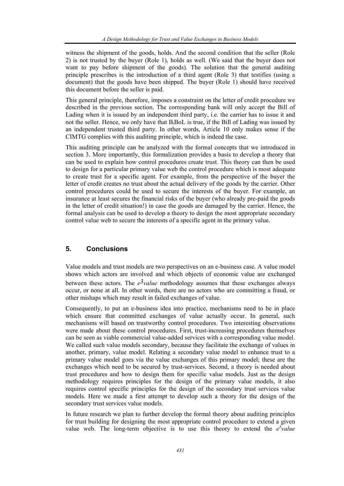witness the shipment of the goods, holds. And the second condition that the seller (Role 2) is not trusted by the buyer (Role 1), holds as well. (We said that the buyer does not want to pay before shipment of the goods). The solution that the general auditing principle prescribes is the introduction of a third agent (Role 3) that testifies (using a document) that the goods have been shipped. The buyer (Role 1) should have received this document before the seller is paid.

This general principle, therefore, imposes a constraint on the letter of credit procedure we described in the previous section. The corresponding bank will only accept the Bill of Lading when it is issued by an independent third party, i.e. the carrier has to issue it and not the seller. Hence, we only have that B<sub>i</sub>BoL is true, if the Bill of Lading was issued by an independent trusted third party. In other words, Article 10 only makes sense if the CIMTG complies with this auditing principle, which is indeed the case.

This auditing principle can be analyzed with the formal concepts that we introduced in section 3. More importantly, this formalization provides a basis to develop a theory that can be used to explain how control procedures create trust. This theory can then be used to design for a particular primary value web the control procedure which is most adequate to create trust for a specific agent. For example, from the perspective of the buyer the letter of credit creates no trust about the actual delivery of the goods by the carrier. Other control procedures could be used to secure the interests of the buyer. For example, an insurance at least secures the financial risks of the buyer (who already pre-paid the goods in the letter of credit situation!) in case the goods are damaged by the carrier. Hence, the formal analysis can be used to develop a theory to design the most appropriate secondary control value web to secure the interests of a specific agent in the primary value.

#### **5. Conclusions**

Value models and trust models are two perspectives on an e-business case. A value model shows which actors are involved and which objects of economic value are exchanged between these actors. The  $e^3$ *value* methodology assumes that these exchanges always occur, or none at all. In other words, there are no actors who are committing a fraud, or other mishaps which may result in failed exchanges of value.

Consequently, to put an e-business idea into practice, mechanisms need to be in place which ensure that committed exchanges of value actually occur. In general, such mechanisms will based on trustworthy control procedures. Two interesting observations were made about these control procedures. First, trust-increasing procedures themselves can be seen as viable commercial value-added services with a corresponding value model. We called such value models secondary, because they facilitate the exchange of values in another, primary, value model. Relating a secondary value model to enhance trust to a primary value model goes via the value exchanges of this primary model; these are the exchanges which need to be secured by trust-services. Second, a theory is needed about trust procedures and how to design them for specific value models. Just as the design methodology requires principles for the design of the primary value models, it also requires control specific principles for the design of the secondary trust services value models. Here we made a first attempt to develop such a theory for the design of the secondary trust services value models.

In future research we plan to further develop the formal theory about auditing principles for trust building for designing the most appropriate control procedure to extend a given value web. The long-term objective is to use this theory to extend the  $e^{3}$  *value*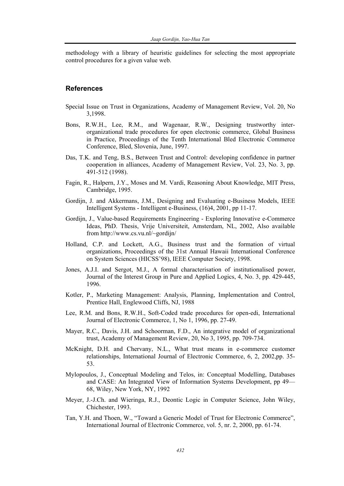methodology with a library of heuristic guidelines for selecting the most appropriate control procedures for a given value web.

#### **References**

- Special Issue on Trust in Organizations, Academy of Management Review, Vol. 20, No 3,1998.
- Bons, R.W.H., Lee, R.M., and Wagenaar, R.W., Designing trustworthy interorganizational trade procedures for open electronic commerce, Global Business in Practice, Proceedings of the Tenth International Bled Electronic Commerce Conference, Bled, Slovenia, June, 1997.
- Das, T.K. and Teng, B.S., Between Trust and Control: developing confidence in partner cooperation in alliances, Academy of Management Review, Vol. 23, No. 3, pp. 491-512 (1998).
- Fagin, R., Halpern, J.Y., Moses and M. Vardi, Reasoning About Knowledge, MIT Press, Cambridge, 1995.
- Gordijn, J. and Akkermans, J.M., Designing and Evaluating e-Business Models, IEEE Intelligent Systems - Intelligent e-Business, (16)4, 2001, pp 11-17.
- Gordijn, J., Value-based Requirements Engineering Exploring Innovative e-Commerce Ideas, PhD. Thesis, Vrije Universiteit, Amsterdam, NL, 2002, Also available from http://www.cs.vu.nl/~gordijn/
- Holland, C.P. and Lockett, A.G., Business trust and the formation of virtual organizations, Proceedings of the 31st Annual Hawaii International Conference on System Sciences (HICSS'98), IEEE Computer Society, 1998.
- Jones, A.J.I. and Sergot, M.J., A formal characterisation of institutionalised power, Journal of the Interest Group in Pure and Applied Logics, 4, No. 3, pp. 429-445, 1996.
- Kotler, P., Marketing Management: Analysis, Planning, Implementation and Control, Prentice Hall, Englewood Cliffs, NJ, 1988
- Lee, R.M. and Bons, R.W.H., Soft-Coded trade procedures for open-edi, International Journal of Electronic Commerce, 1, No 1, 1996, pp. 27-49.
- Mayer, R.C., Davis, J.H. and Schoorman, F.D., An integrative model of organizational trust, Academy of Management Review, 20, No 3, 1995, pp. 709-734.
- McKnight, D.H. and Chervany, N.L., What trust means in e-commerce customer relationships, International Journal of Electronic Commerce, 6, 2, 2002,pp. 35- 53.
- Mylopoulos, J., Conceptual Modeling and Telos, in: Conceptual Modelling, Databases and CASE: An Integrated View of Information Systems Development, pp 49— 68, Wiley, New York, NY, 1992
- Meyer, J.-J.Ch. and Wieringa, R.J., Deontic Logic in Computer Science, John Wiley, Chichester, 1993.
- Tan, Y.H. and Thoen, W., "Toward a Generic Model of Trust for Electronic Commerce", International Journal of Electronic Commerce, vol. 5, nr. 2, 2000, pp. 61-74.